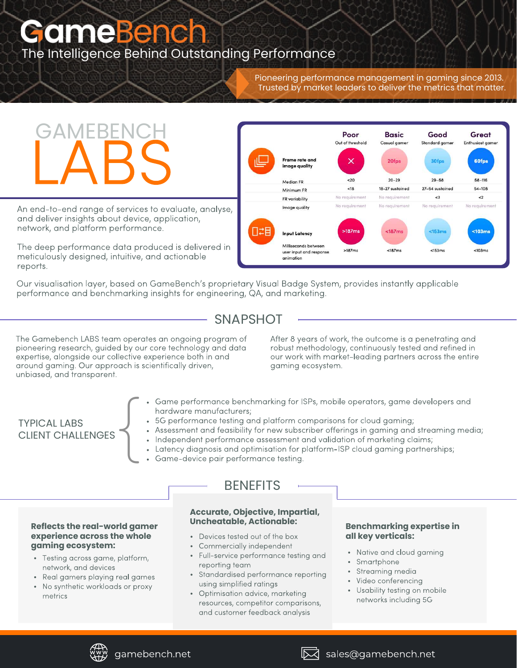# **GameBench** The Intelligence Behind Outstanding Performance

Pioneering performance management in gaming since 2013. Trusted by market leaders to deliver the metrics that matter.

# **CAMEBENCH**

An end-to-end range of services to evaluate, analyse, and deliver insights about device, application, network, and platform performance.

The deep performance data produced is delivered in meticulously designed, intuitive, and actionable reports.



Our visualisation layer, based on GameBench's proprietary Visual Badge System, provides instantly applicable performance and benchmarking insights for engineering, QA, and marketing.

## **SNAPSHOT**

The Gamebench LABS team operates an ongoing program of pioneering research, guided by our core technology and data expertise, alongside our collective experience both in and around gaming. Our approach is scientifically driven, unbiased, and transparent.

After 8 years of work, the outcome is a penetrating and robust methodology, continuously tested and refined in our work with market-leading partners across the entire gaming ecosystem.

# TYPICAL LABS CLIENT CHALLENGES  $\left\{ \begin{matrix} 1 \\ 1 \end{matrix} \right.$

- Game performance benchmarking for ISPs, mobile operators, game developers and hardware manufacturers;
	- 5G performance testing and platform comparisons for cloud gaming;
- Assessment and feasibility for new subscriber offerings in gaming and streaming media;
- . Independent performance assessment and validation of marketing claims;
	- Latency diagnosis and optimisation for platform-ISP cloud gaming partnerships;
	- Game-device pair performance testing.

#### **Reflects the real-world gamer experience across the whole gaming ecosystem:**

- Testing across game, platform, network, and devices
- Real gamers playing real games
- No synthetic workloads or proxy metrics

### **BENEFITS**

# **Accurate, Objective, Impartial,**

- Devices tested out of the box
- Commercially independent
- Full-service performance testing and reporting team
- Standardised performance reporting using simplified ratings
- Optimisation advice, marketing resources, competitor comparisons, and customer feedback analysis

#### **Benchmarking expertise in all key verticals:**

- Native and cloud gaming
- Smartphone
- Streaming media
- Video conferencing
- Usability testing on mobile networks including 5G